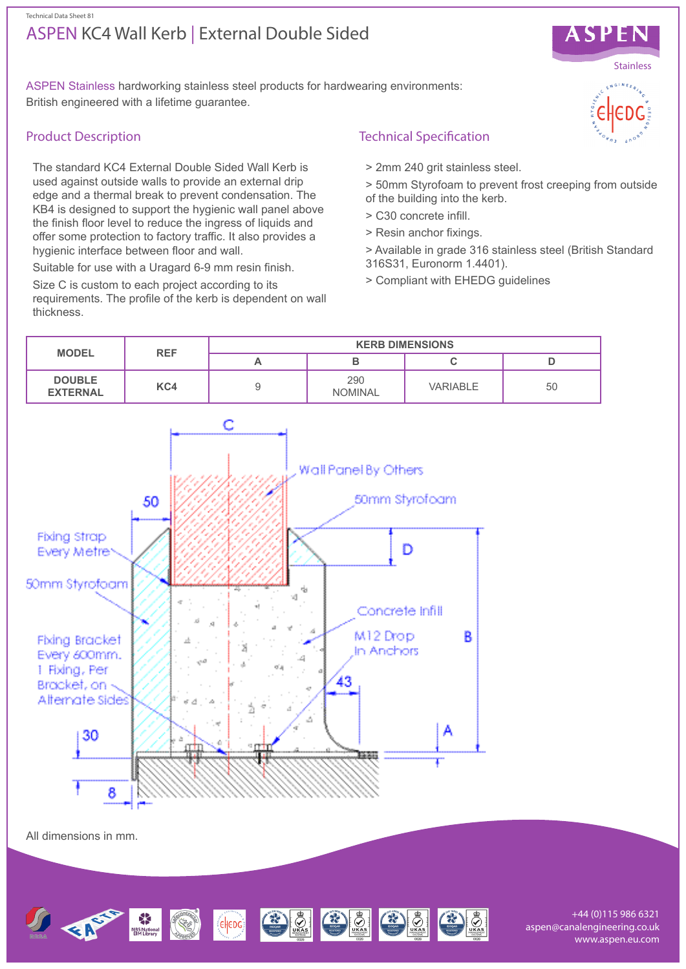## ASPEN KC4 Wall Kerb | External Double Sided Technical Data Sheet 81



ASPEN Stainless hardworking stainless steel products for hardwearing environments: British engineered with a lifetime guarantee.

### Product Description

The standard KC4 External Double Sided Wall Kerb is used against outside walls to provide an external drip edge and a thermal break to prevent condensation. The KB4 is designed to support the hygienic wall panel above the finish floor level to reduce the ingress of liquids and offer some protection to factory traffic. It also provides a hygienic interface between floor and wall.

Suitable for use with a Uragard 6-9 mm resin finish.

Size C is custom to each project according to its requirements. The profile of the kerb is dependent on wall thickness.

# Technical Specification

- > 2mm 240 grit stainless steel.
- > 50mm Styrofoam to prevent frost creeping from outside of the building into the kerb.
- > C30 concrete infill.
- > Resin anchor fixings.
- > Available in grade 316 stainless steel (British Standard 316S31, Euronorm 1.4401).
- > Compliant with EHEDG guidelines



HEDGE SE STRIKE

+44 (0)115 986 6321 aspen@canalengineering.co.uk www.aspen.eu.com